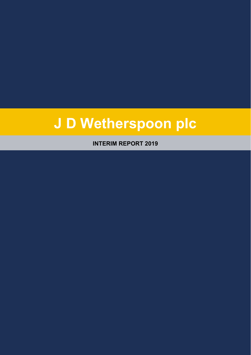# **J D Wetherspoon plc**

**INTERIM REPORT 2019**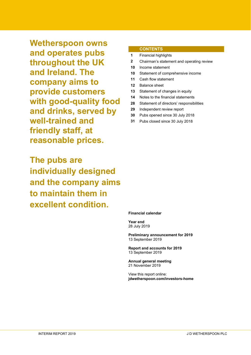**Wetherspoon owns and operates pubs throughout the UK and Ireland. The company aims to provide customers with good-quality food and drinks, served by well-trained and friendly staff, at reasonable prices.** 

**The pubs are individually designed and the company aims to maintain them in excellent condition.**

#### **CONTENTS**

- **1** Financial highlights
- **2** Chairman's statement and operating review
- **10** Income statement
- **10** Statement of comprehensive income
- **11** Cash flow statement
- **12** Balance sheet
- **13** Statement of changes in equity
- **14** Notes to the financial statements
- **28** Statement of directors' responsibilities
- **29** Independent review report
- **30** Pubs opened since 30 July 2018
- **31** Pubs closed since 30 July 2018

#### **Financial calendar**

**Year end**  28 July 2019

**Preliminary announcement for 2019**  13 September 2019

**Report and accounts for 2019**  13 September 2019

**Annual general meeting**  21 November 2019

View this report online: **jdwetherspoon.com/investors-home**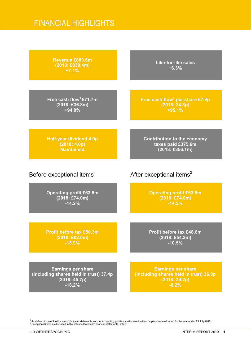### FINANCIAL HIGHLIGHTS

**Revenue £889.6m (2018: £830.4m) +7.1%** 

**Like-for-like sales +6.3%**

**Free cash flow1 £71.7m (2018: £36.8m) +94.8%** 

**Free cash flow<sup>1</sup> per share 67.9p (2018: 34.8p) +95.1%**

**Half-year dividend 4.0p (2018: 4.0p) Maintained**

**Contribution to the economy taxes paid £375.6m (2018: £356.1m)** 

**Operating profit £63.5m (2018: £74.0m) -14.2%**

Before exceptional items After exceptional items<sup>2</sup>

**Operating profit £63.5m (2018: £74.0m) -14.2%**

**Profit before tax £50.3m (2018: £62.0m) -18.9%** 

**Profit before tax £48.6m (2018: £54.3m) -10.5%** 

**Earnings per share (including shares held in trust) 37.4p (2018: 45.7p) -18.2%** 

**Earnings per share (including shares held in trust) 36.0p (2018: 39.2p) -8.2%** 

 $^1$  As defined in note 9 to the interim financial statements and our accounting policies, as disclosed in the company's annual report for the year ended 29 July 2018.<br><sup>2</sup> Exceptional items as disclosed in the notes to th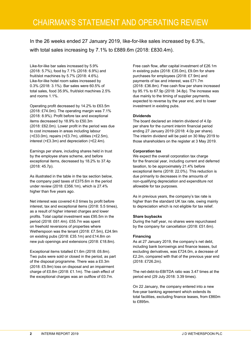In the 26 weeks ended 27 January 2019, like-for-like sales increased by 6.3%, with total sales increasing by 7.1% to £889.6m (2018: £830.4m).

Like-for-like bar sales increased by 5.9% (2018: 5.7%), food by 7.1% (2018: 6.9%) and fruit/slot machines by 5.7% (2018: 4.6%). Like-for-like hotel room sales increased by 0.3% (2018: 3.1%). Bar sales were 60.5% of total sales, food 35.9%, fruit/slot machines 2.5% and rooms 1.1%.

Operating profit decreased by 14.2% to £63.5m (2018: £74.0m). The operating margin was 7.1% (2018: 8.9%). Profit before tax and exceptional items decreased by 18.9% to £50.3m (2018: £62.0m). Lower profit in the period was due to cost increases in areas including labour (+£33.0m), repairs (+£3.7m), utilities (+£2.5m), interest (+£3.3m) and depreciation (+£2.4m).

Earnings per share, including shares held in trust by the employee share scheme, and before exceptional items, decreased by 18.2% to 37.4p (2018: 45.7p).

As illustrated in the table in the tax section below, the company paid taxes of £375.6m in the period under review (2018: £356.1m), which is 27.4% higher than five years ago.

Net interest was covered 4.0 times by profit before interest, tax and exceptional items (2018: 5.5 times), as a result of higher interest charges and lower profits. Total capital investment was £95.5m in the period (2018: £61.4m). £55.7m was spent on freehold reversions of properties where Wetherspoon was the tenant (2018: £7.5m), £24.9m on existing pubs (2018: £35.1m) and £14.8m on new pub openings and extensions (2018: £18.8m).

Exceptional items totalled £1.6m (2018: £6.8m). Two pubs were sold or closed in the period, as part of the disposal programme. There was a £0.3m (2018: £5.9m) loss on disposal and an impairment charge of £0.8m (2018: £1.1m). The cash effect of the exceptional charges was an outflow of £0.7m.

Free cash flow, after capital investment of £26.1m in existing pubs (2018: £35.0m), £9.0m for share purchases for employees (2018: £7.9m) and payments of tax and interest, was £71.7m (2018: £36.8m). Free cash flow per share increased by 95.1% to 67.9p (2018: 34.8p). The increase was due mainly to the timing of supplier payments, expected to reverse by the year end, and to lower investment in existing pubs.

#### **Dividends**

The board declared an interim dividend of 4.0p per share for the current interim financial period ending 27 January 2019 (2018: 4.0p per share). The interim dividend will be paid on 30 May 2019 to those shareholders on the register at 3 May 2019.

#### **Corporation tax**

We expect the overall corporation tax charge for the financial year, including current and deferred taxation, to be approximately 21.4% before exceptional items (2018: 22.0%). This reduction is due primarily to decreases in the amounts of non-qualifying depreciation and expenditure not allowable for tax purposes.

As in previous years, the company's tax rate is higher than the standard UK tax rate, owing mainly to depreciation which is not eligible for tax relief.

#### **Share buybacks**

During the half year, no shares were repurchased by the company for cancellation (2018: £51.6m).

#### **Financing**

As at 27 January 2019, the company's net debt, including bank borrowings and finance leases, but excluding derivatives, was £724.0m, a decrease of £2.2m, compared with that of the previous year end (2018: £726.2m).

The net-debt-to-EBITDA ratio was 3.47 times at the period end (29 July 2018: 3.39 times).

On 22 January, the company entered into a new five-year banking agreement which extends its total facilities, excluding finance leases, from £860m to £895m.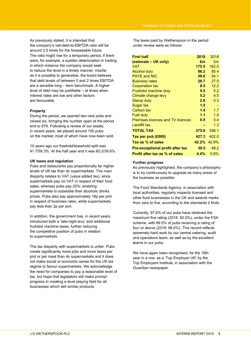As previously stated, it is intended that the company's net-debt-to-EBITDA ratio will be around 3.5 times for the foreseeable future. The ratio might rise for a temporary period, if there were, for example, a sudden deterioration in trading, in which instance the company would seek to reduce the level in a timely manner. Insofar as it is possible to generalise, the board believes that debt levels of between 0 and 2 times EBITDA are a sensible long – term benchmark. A higher level of debt may be justifiable – at times when interest rates are low and other factors are favourable.

#### **Property**

During the period, we opened two new pubs and closed six, bringing the number open at the period end to 879. Following a review of our estate, in recent years, we placed around 100 pubs on the market, most of which have now been sold.

10 years ago our freehold/leasehold split was 41.7/58.3%. At the half year end it was 60.2/39.8%.

#### **UK taxes and regulation**

Pubs and restaurants pay proportionally far higher levels of UK tax than do supermarkets. The main disparity relates to VAT (value added tax), since supermarkets pay no VAT in respect of their food sales, whereas pubs pay 20%, enabling supermarkets to subsidise their alcoholic drinks prices. Pubs also pay approximately 18p per pint in respect of business rates, while supermarkets pay less than 2p per pint.

In addition, the government has, in recent years, introduced both a 'late-night levy' and additional fruit/slot machine taxes, further reducing the competitive position of pubs in relation to supermarkets.

The tax disparity with supermarkets is unfair. Pubs create significantly more jobs and more taxes per pint or per meal than do supermarkets and it does not make social or economic sense for the UK tax régime to favour supermarkets. We acknowledge the need for companies to pay a reasonable level of tax, but hope that legislators will make prompt progress in creating a level playing field for all businesses which sell similar products.

The taxes paid by Wetherspoon in the period under review were as follows:

| <b>First half</b>                        | 2019        | 2018  |
|------------------------------------------|-------------|-------|
| (estimate – UK only)                     | £m          | £m    |
| VAT                                      | 175.5       | 162.5 |
| <b>Alcohol duty</b>                      | 86.2        | 85.4  |
| <b>PAYE and NIC</b>                      | 59.0        | 54.1  |
| <b>Business rates</b>                    | 28.7        | 27.5  |
| <b>Corporation tax</b>                   | 8.5         | 12.2  |
| Fruit/slot machine duty                  | 5.5         | 5.2   |
| Climate change levy                      | 5.2         | 4.5   |
| Stamp duty                               | 2.6         | 0.3   |
| Sugar tax                                | 1.5         |       |
| Carbon tax                               | 1.4         | 1.7   |
| <b>Fuel duty</b>                         | 1.1         | 1.0   |
| <b>Premises licences and TV licences</b> | 0.4         | 0.4   |
| <b>Landfill tax</b>                      |             | 1.3   |
| <b>TOTAL TAX</b>                         | 375.6       | 356.1 |
| Tax per pub (£000)                       | 427.3       | 402.0 |
| Tax as % of sales                        | 42.2% 42.9% |       |
| <b>Pre-exceptional profit after tax</b>  | 39.5        | 48.2  |
| <b>Profit after tax as % of sales</b>    | $4.4\%$     | 5.8%  |

#### **Further progress**

As previously highlighted, the company's philosophy is to try continuously to upgrade as many areas of the business as possible.

The Food Standards Agency, in association with local authorities, regularly inspects licensed and other food businesses in the UK and awards marks from zero to five, according to the standards it finds.

Currently, 97.6% of our pubs have obtained the maximum five rating (2018: 92.0%), under the FSA scheme, with 99.5% of pubs receiving a rating of four or above (2018: 98.0%). This record reflects extremely hard work by our central catering, audit and operations team, as well as by the excellent teams in our pubs.

We have again been recognised, for the 16th year in a row, as a 'Top Employer UK' by the Top Employers Institute, in association with the Guardian newspaper.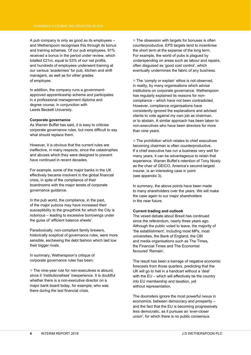A pub company is only as good as its employees – and Wetherspoon recognises this through its bonus and training schemes. Of our pub employees, 91% received a bonus in the period under review, which totalled £21m, equal to 53% of our net profits, and hundreds of employees underwent training at our various 'academies' for pub, kitchen and shift managers, as well as for other grades of employee.

In addition, the company runs a governmentapproved apprenticeship scheme and participates in a professional management diploma and degree course, in conjunction with Leeds Beckett University.

#### **Corporate governance**

As Warren Buffet has said, it is easy to criticise corporate governance rules, but more difficult to say what should replace them.

However, it is obvious that the current rules are ineffective, in many respects, since the catastrophes and abuses which they were designed to prevent have continued in recent decades.

For example, some of the major banks in the UK effectively became insolvent in the global financial crisis, in spite of the compliance of their boardrooms with the major tenets of corporate governance guidance.

In the pub world, the compliance, in the past, of the major pubcos may have increased their susceptibility to the groupthink for which the City is notorious – leading to excessive borrowings under the guise of 'efficient balance sheets'.

Paradoxically, non-compliant family brewers, historically sceptical of governance rules, were more sensible, eschewing the debt fashion which laid low their bigger rivals.

In summary, Wetherspoon's critique of corporate governance rules has been:

 $\blacksquare$  The nine-year rule for non-executives is absurd, since it 'institutionalises' inexperience. It is doubtful whether there is a non-executive director on a major bank board today, for example, who was there during the last financial crisis.

 $\blacksquare$  The obsession with targets for bonuses is often counterproductive. EPS targets tend to incentivise the short term at the expense of the long term. For example, the world of pubs is plagued by underspending on areas such as labour and repairs, often disguised as 'good cost control', which eventually undermines the fabric of any business.

■ The 'comply or explain' ethos is not observed, in reality, by many organisations which advise institutions on corporate governance. Wetherspoon has regularly explained its reasons for noncompliance – which have not been contradicted. However, compliance organisations have consistently ignored the explanations and advised clients to vote against my own job as chairman, or to abstain. A similar approach has been taken to non-executives who have been directors for more than nine years.

■ The prohibition which relates to chief executives becoming chairman is often counterproductive. If a chief executive has run a business very well for many years, it can be advantageous to retain that experience. Warren Buffet's retention of Tony Nicely as the chair of GEICO, America's second-largest insurer, is an interesting case in point (see appendix 3).

In summary, the above points have been made to many shareholders over the years. We will make the case again to our major shareholders in the near future.

#### **Current trading and outlook**

The vexed debate about Brexit has continued since the referendum, nearly three years ago. Although the public voted to leave, the majority of 'the establishment', including most MPs, most universities, the Bank of England, the CBI and media organisations such as The Times, the Financial Times and The Economist favoured 'Remain'.

The result has been a barrage of negative economic forecasts from those quarters, predicting that the UK will go to hell in a handcart without a 'deal' with the EU – which will effectively tie the country into EU membership and taxation, yet without representation.

The doomsters ignore the most powerful nexus in economics, between democracy and prosperity – and the fact that the EU is becoming progressively less democratic, as it pursues an 'ever-closer union', for which there is no public consensus.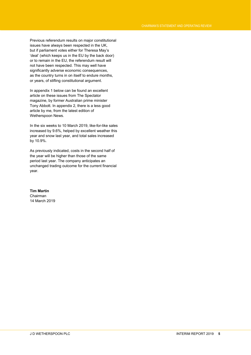Previous referendum results on major constitutional issues have always been respected in the UK, but if parliament votes either for Theresa May's 'deal' (which keeps us in the EU by the back door) or to remain in the EU, the referendum result will not have been respected. This may well have significantly adverse economic consequences, as the country turns in on itself to endure months, or years, of stifling constitutional argument.

In appendix 1 below can be found an excellent article on these issues from The Spectator magazine, by former Australian prime minister Tony Abbott. In appendix 2, there is a less good article by me, from the latest edition of Wetherspoon News.

In the six weeks to 10 March 2019, like-for-like sales increased by 9.6%, helped by excellent weather this year and snow last year, and total sales increased by 10.9%.

As previously indicated, costs in the second half of the year will be higher than those of the same period last year. The company anticipates an unchanged trading outcome for the current financial year.

**Tim Martin**  Chairman 14 March 2019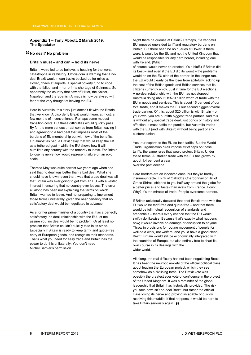#### **Appendix 1 – Tony Abbott, 2 March 2019, The Spectator**

## **If No deal? No problem**<br>Pritcin must and so

#### **Britain must – and can – hold its nerve**

Britain, we're led to be believe, is heading for the worst catastrophe in its history. Officialdom is warning that a nodeal Brexit would mean trucks backed up for miles at Dover, chaos at airports, a special poverty fund to cope with the fallout and – horror! – a shortage of Guinness. So apparently the country that saw off Hitler, the Kaiser, Napoleon and the Spanish Armada is now paralysed with fear at the very thought of leaving the EU.

Here in Australia, this story just doesn't fit with the Britain that we know. A disorderly Brexit would mean, at most, a few months of inconvenience. Perhaps some modest transition costs. But these difficulties would quickly pass. By far the more serious threat comes from Britain caving in and agreeing to a bad deal that imposes most of the burdens of EU membership but with few of the benefits. Or, almost as bad, a Brexit delay that would keep the UK as a tethered goat – while the EU shows how it will humiliate any country with the temerity to leave. For Britain to lose its nerve now would represent failure on an epic scale.

Theresa May was quite correct two years ago when she said that no deal was better than a bad deal. What she should have known, even then, was that a bad deal was all that Britain was ever going to get from an EU with a vested interest in ensuring that no country ever leaves. The error all along has been not explaining the terms on which Britain wanted to leave. And not preparing to implement those terms unilaterally, given the near certainty that no satisfactory deal would be negotiated in advance.

As a former prime minister of a country that has a perfectly satisfactory 'no deal' relationship with the EU, let me assure you: no deal would be no problem. Or at least no problem that Britain couldn't quickly take in its stride. Especially if Britain is ready to keep tariff- and quota-free entry of European goods, and recognise their standards. That's what you need for easy trade and Britain has the power to do this unilaterally. You don't need Michel Barnier's permission.

Might there be queues at Calais? Perhaps, if a vengeful EU imposed one-sided tariff and regulatory burdens on Britain. But there need be no queues at Dover. If there were, it would be the EU and not the United Kingdom that would be responsible for any hard border, including one with Ireland. (Which,

of course, would never be erected: it's a bluff.) If Britain did its best – and even if the EU did its worst – the problems would be on the EU side of the border. In the longer run, the EU would clearly be the loser from spitefully jacking up the cost of the British goods and British services that its citizens currently enjoy. Just in time for the EU elections. A no-deal relationship with the EU has not stopped Australia doing about US\$70 billion worth of trade with the EU in goods and services. This is about 15 per cent of our total trade, and it makes the EU our second biggest overall trade partner. Of this, about \$20 billion is with Britain – on your own, you are our fifth biggest trade partner. And this is without any special trade deal, just bonds of history and affection. It must baffle the pundits, but Australia trades with the EU (and with Britain) without being part of any customs union.

Yes, our exports to the EU do face tariffs. But the World Trade Organisation rules impose strict caps on these tariffs: the same rules that would protect Britain. Under these terms, Australian trade with the EU has grown by about 1.4 per cent a year over the past decade.

Hard borders are an inconvenience, but they're hardly insurmountable. Think of Oakridge Chardonnay or Hill of Grace Shiraz, shipped to you half way around the globe for a better price (and taste) than rivals from France. How? Why? It's the miracle of trade. People overcome barriers.

If Britain unilaterally declared that post-Brexit trade with the EU would be tariff-free and quota-free – and that there would be full mutual recognition of standards and credentials – there's every chance that the EU would swiftly do likewise. Because that's exactly what happens now; it would involve no damage or disruption to anyone. Throw in provisions for routine movement of people for well-paid work, not welfare, and you'd have a good clean Brexit. Britain would still be economically integrated with the countries of Europe, but also entirely free to chart its own course in its dealings with the wider world.

All along, the real difficulty has not been negotiating Brexit. It has been the neurotic anxiety of the official political class about leaving the European project, which they see somehow as a civilising force. The Brexit vote was possibly the greatest ever vote of confidence in the project of the United Kingdom. It was a reminder of the global leadership that Britain has historically provided. The risk you face now isn't no-deal Brexit, but rather the official class losing its nerve and proving incapable of quickly resolving this muddle. If that happens, it would be hard to take Britain seriously again. **JJ**<br>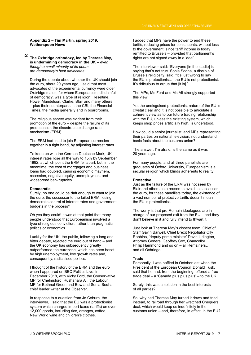**Appendix 2 – Tim Martin, spring 2019, Wetherspoon News** 

**The Oxbridge orthodoxy, led by Theresa May, is undermining democracy in the UK –** *even though a small minority of its peers are democracy's best advocates.*  "

During the debate about whether the UK should join the euro, about 20 years ago, I said that most advocates of the experimental currency were older Oxbridge males, for whom Europeanism, disdainful of democracy, was a type of religion: Heseltine, Howe, Mandelson, Clarke, Blair and many others – plus their counterparts in the CBI, the Financial Times, the media generally and in boardrooms.

The religious aspect was evident from their promotion of the euro – despite the failure of its predecessor, the disastrous exchange rate mechanism (ERM).

The ERM had tried to join European currencies together in a tight band, by adjusting interest rates.

To keep up with the German Deutsche Mark, UK interest rates rose all the way to 15% by September 1992, at which point the ERM fell apart, but, in the meantime, the cost of mortgages and business loans had doubled, causing economic mayhem, recession, negative equity, unemployment and widespread bankruptcies.

#### **Democratic**

Surely, no one could be daft enough to want to join the euro, the successor to the failed ERM, losing democratic control of interest rates and government budgets in the process?

Oh yes they could! It was at that point that many people understood that Europeanism involved a type of religious conviction, rather than pragmatic politics or economics.

Luckily for the UK, the public, following a long and bitter debate, rejected the euro out of hand – and the UK economy has subsequently greatly outperformed the eurozone, which has been beset by high unemployment, low growth rates and, consequently, radicalised politics.

I thought of the history of the ERM and the euro when I appeared on BBC Politics Live, in December 2018, with Vicky Ford, the Conservative MP for Chelmsford, Rushanara Ali, the Labour MP for Bethnal Green and Bow and Sonia Sodha, chief leader writer at the Observer.

In response to a question from Jo Coburn, the interviewer, I said that the EU was a protectionist system which charged import taxes (tariffs) on over 12,000 goods, including rice, oranges, coffee, New World wine and children's clothes.

I added that MPs have the power to end these tariffs, reducing prices for constituents, without loss to the government, since tariff income is today remitted to Brussels – provided that parliament's rights are not signed away in a 'deal'.

The interviewer said: "Everyone [in the studio] is saying that's not true. Sonia Sodha, a disciple of Brussels religiosity, said: "It's just wrong to say the EU is protectionist… the EU is not protectionist. It's ridiculous to argue that [it is]."

The MPs, Ms Ford and Ms Ali strongly supported this view.

Yet the undisguised protectionist nature of the EU is crystal clear and it is not possible to articulate a coherent view as to our future trading relationship with the EU, unless the existing system, which keeps shop prices artificially high, is understood.

How could a senior journalist, and MPs representing their parties on national television, not understand basic facts about the customs union?

The answer, I'm afraid, is the same as it was 20 years ago.

For many people, and all three panellists are graduates of Oxford University, Europeanism is a secular religion which blinds adherents to reality.

#### **Protective**

Just as the failure of the ERM was not seen by Blair and others as a reason to avoid its successor, the euro, for these panellists today, the existence of a vast number of protective tariffs doesn't mean the EU is protectionist.

The worry is that pro-Remain ideologues are in charge of our proposed exit from the EU – and they don't believe in it and fully intend to thwart it.

Just look at Theresa May's closest team. Chief of Staff Gavin Barwell, Chief Brexit Negotiator Olly Robbins, 'deputy prime minister' David Lidington, Attorney General Geoffrey Cox, Chancellor Philip Hammond and so on – all Remainers… and all Oxbridge.

#### **Trade**

Personally, I was baffled in October last when the President of the European Council, Donald Tusk, said that he had, from the beginning, offered a freetrade deal – a 'Canada plus plus plus' – to the UK.

Surely, this was a solution in the best interests of all parties?

So, why had Theresa May turned it down and tried, instead, to railroad through her wretched Chequers deal, which would keep us indefinitely in the customs union – and, therefore, in effect, in the EU?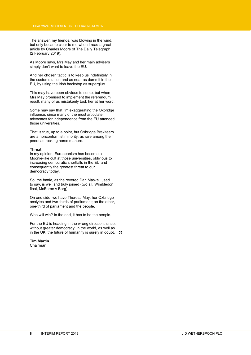The answer, my friends, was blowing in the wind, but only became clear to me when I read a great article by Charles Moore of The Daily Telegraph (2 February 2019).

As Moore says, Mrs May and her main advisers simply don't want to leave the EU.

And her chosen tactic is to keep us indefinitely in the customs union and as near as dammit in the EU, by using the Irish backstop as superglue.

This may have been obvious to some, but when Mrs May promised to implement the referendum result, many of us mistakenly took her at her word.

Some may say that I'm exaggerating the Oxbridge influence, since many of the most articulate advocates for independence from the EU attended those universities.

That is true, up to a point, but Oxbridge Brexiteers are a nonconformist minority, as rare among their peers as rocking horse manure.

#### **Threat**

In my opinion, Europeanism has become a Moonie-like cult at those universities, oblivious to increasing democratic shortfalls in the EU and consequently the greatest threat to our democracy today.

So, the battle, as the revered Dan Maskell used to say, is well and truly joined (two all, Wimbledon final, McEnroe v Borg).

On one side, we have Theresa May, her Oxbridge acolytes and two-thirds of parliament; on the other, one-third of parliament and the people.

Who will win? In the end, it has to be the people.

For the EU is heading in the wrong direction, since, without greater democracy, in the world, as well as in the UK, the future of humanity is surely in doubt. **ٿا**<br>Tim Martin

**Tim Martin**  Chairman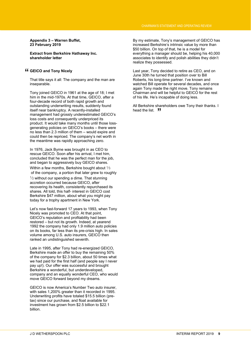#### **Appendix 3 – Warren Buffet, 23 February 2019**

**Extract from Berkshire Hathaway Inc. shareholder letter** 

## **GEICO and Tony Nicely**<br>That title agus it all: The a

That title says it all: The company and the man are inseparable.

Tony joined GEICO in 1961 at the age of 18; I met him in the mid-1970s. At that time, GEICO, after a four-decade record of both rapid growth and outstanding underwriting results, suddenly found itself near bankruptcy. A recently-installed management had grossly underestimated GEICO's loss costs and consequently underpriced its product. It would take many months until those lossgenerating policies on GEICO's books – there were no less than 2.3 million of them – would expire and could then be repriced. The company's net worth in the meantime was rapidly approaching zero.

In 1976, Jack Byrne was brought in as CEO to rescue GEICO. Soon after his arrival, I met him, concluded that he was the perfect man for the job, and began to aggressively buy GEICO shares. Within a few months, Berkshire bought about  $\frac{1}{3}$ 

of the company, a portion that later grew to roughly

 $\frac{1}{2}$  without our spending a dime. That stunning accretion occurred because GEICO, after recovering its health, consistently repurchased its shares. All told, this half- interest in GEICO cost Berkshire \$47 million, about what you might pay today for a trophy apartment in New York.

Let's now fast-forward 17 years to 1993, when Tony Nicely was promoted to CEO. At that point, GEICO's reputation and profitability had been restored – but not its growth. Indeed, at yearend 1992 the company had only 1.9 million auto policies on its books, far less than its pre-crisis high. In sales volume among U.S. auto insurers, GEICO then ranked an undistinguished seventh.

Late in 1995, after Tony had re-energized GEICO, Berkshire made an offer to buy the remaining 50% of the company for \$2.3 billion, about 50 times what we had paid for the first half (and people say I never pay up!). Our offer was successful and brought Berkshire a wonderful, but underdeveloped, company and an equally wonderful CEO, who would move GEICO forward beyond my dreams.

GEICO is now America's Number Two auto insurer, with sales 1,200% greater than it recorded in 1995. Underwriting profits have totaled \$15.5 billion (pretax) since our purchase, and float available for investment has grown from \$2.5 billion to \$22.1 billion.

By my estimate, Tony's management of GEICO has increased Berkshire's intrinsic value by more than \$50 billion. On top of that, he is a model for everything a manager should be, helping his 40,000 associates to identify and polish abilities they didn't realize they possessed.

Last year, Tony decided to retire as CEO, and on June 30th he turned that position over to Bill Roberts, his long-time partner. I've known and watched Bill operate for several decades, and once again Tony made the right move. Tony remains Chairman and will be helpful to GEICO for the rest of his life. He's incapable of doing less.

All Berkshire shareholders owe Tony their thanks. I head the list. **11**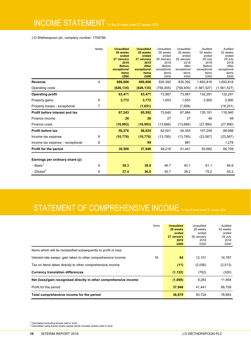#### J D Wetherspoon plc, company number: 1709784

|                                  | <b>Notes</b> | <b>Unaudited</b><br>26 weeks<br>ended<br>27 January<br>2019<br><b>Before</b><br>exceptional<br><b>items</b><br>£000 | <b>Unaudited</b><br>26 weeks<br>ended<br>27 January<br>2019<br><b>After</b><br>exceptional<br><b>items</b><br>£000 | Unaudited<br>26 weeks<br>ended<br>28 January<br>2018<br><b>Before</b><br>exceptional<br>items<br>£000 | Unaudited<br>26 weeks<br>ended<br>28 January<br>2018<br>After<br>exceptional<br>items<br>£000 | Audited<br>52 weeks<br>ended<br>29 July<br>2018<br>Before<br>exceptional<br>items<br>£000 | Audited<br>52 weeks<br>ended<br>29 July<br>2018<br>After<br>exceptional<br>items<br>£000 |
|----------------------------------|--------------|---------------------------------------------------------------------------------------------------------------------|--------------------------------------------------------------------------------------------------------------------|-------------------------------------------------------------------------------------------------------|-----------------------------------------------------------------------------------------------|-------------------------------------------------------------------------------------------|------------------------------------------------------------------------------------------|
| Revenue                          | 4            | 889,606                                                                                                             | 889,606                                                                                                            | 830,392                                                                                               | 830,392                                                                                       | 1,693,818                                                                                 | 1,693,818                                                                                |
| Operating costs                  |              | (826, 135)                                                                                                          | (826, 135)                                                                                                         | (756, 405)                                                                                            | (756, 405)                                                                                    | (1,561,527)                                                                               | (1,561,527)                                                                              |
| <b>Operating profit</b>          |              | 63,471                                                                                                              | 63,471                                                                                                             | 73,987                                                                                                | 73,987                                                                                        | 132,291                                                                                   | 132,291                                                                                  |
| Property gains                   | 6            | 3,772                                                                                                               | 3,772                                                                                                              | 1,653                                                                                                 | 1,653                                                                                         | 2,900                                                                                     | 2,900                                                                                    |
| Property losses - exceptional    | 7            |                                                                                                                     | (1,651)                                                                                                            |                                                                                                       | (7,656)                                                                                       |                                                                                           | (18, 251)                                                                                |
| Profit before interest and tax   |              | 67,243                                                                                                              | 65,592                                                                                                             | 75,640                                                                                                | 67,984                                                                                        | 135,191                                                                                   | 116,940                                                                                  |
| Finance income                   |              | 26                                                                                                                  | 26                                                                                                                 | 27                                                                                                    | 27                                                                                            | 48                                                                                        | 48                                                                                       |
| Finance costs                    |              | (16, 993)                                                                                                           | (16,993)                                                                                                           | (13,666)                                                                                              | (13,666)                                                                                      | (27,990)                                                                                  | (27, 990)                                                                                |
| Profit before tax                |              | 50,276                                                                                                              | 48,625                                                                                                             | 62,001                                                                                                | 54,345                                                                                        | 107,249                                                                                   | 88,998                                                                                   |
| Income tax expense               | 8            | (10, 776)                                                                                                           | (10, 776)                                                                                                          | (13, 785)                                                                                             | (13,785)                                                                                      | (23, 567)                                                                                 | (23, 567)                                                                                |
| Income tax expense – exceptional | 8            |                                                                                                                     | 99                                                                                                                 |                                                                                                       | 881                                                                                           |                                                                                           | 1,278                                                                                    |
| Profit for the period            |              | 39,500                                                                                                              | 37,948                                                                                                             | 48,216                                                                                                | 41,441                                                                                        | 83,682                                                                                    | 66,709                                                                                   |
| Earnings per ordinary share (p)  |              |                                                                                                                     |                                                                                                                    |                                                                                                       |                                                                                               |                                                                                           |                                                                                          |
| - Basic                          | 9            | 38.3                                                                                                                | 36.8                                                                                                               | 46.7                                                                                                  | 40.1                                                                                          | 81.1                                                                                      | 64.6                                                                                     |
| - Diluted <sup>2</sup>           | 9            | 37.4                                                                                                                | 36.0                                                                                                               | 45.7                                                                                                  | 39.2                                                                                          | 79.2                                                                                      | 63.2                                                                                     |

### STATEMENT OF COMPREHENSIVE INCOME For the 26 weeks ended 27 January 2019

| <b>Notes</b>                                                        | <b>Unaudited</b><br>26 weeks<br>ended<br>27 January<br>2019<br>£000 | Unaudited<br>26 weeks<br>ended<br>28 January<br>2018<br>£000 | Audited<br>52 weeks<br>ended<br>29 July<br>2018<br>£000 |
|---------------------------------------------------------------------|---------------------------------------------------------------------|--------------------------------------------------------------|---------------------------------------------------------|
| Items which will be reclassified subsequently to profit or loss:    |                                                                     |                                                              |                                                         |
| 16<br>Interest-rate swaps: gain taken to other comprehensive income | 64                                                                  | 12,101                                                       | 14,787                                                  |
| Tax on items taken directly to other comprehensive income           | (11)                                                                | (2,056)                                                      | (2,513)                                                 |
| <b>Currency translation differences</b>                             | (1, 122)                                                            | (762)                                                        | (320)                                                   |
| Net (loss)/gain recognised directly in other comprehensive income   | (1,069)                                                             | 9,283                                                        | 11,954                                                  |
| Profit for the period                                               | 37,948                                                              | 41.441                                                       | 66,709                                                  |
| Total comprehensive income for the period                           | 36,879                                                              | 50.724                                                       | 78.663                                                  |

<sup>&</sup>lt;sup>1</sup> Calculated excluding shares held in trust.<br><sup>2</sup> Calculated using issued share capital which includes shares held in trust.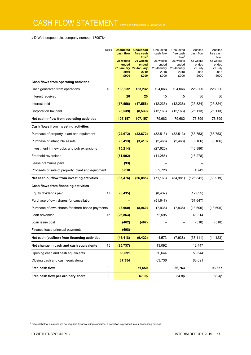#### J D Wetherspoon plc, company number: 1709784

| Notes                                             | <b>Unaudited</b><br>cash flow     | <b>Unaudited</b><br>free cash                                                   | Unaudited<br>cash flow                          | Unaudited<br>free cash                                               | Audited<br>cash flow                         | Audited<br>free cash                                              |
|---------------------------------------------------|-----------------------------------|---------------------------------------------------------------------------------|-------------------------------------------------|----------------------------------------------------------------------|----------------------------------------------|-------------------------------------------------------------------|
|                                                   | 26 weeks<br>ended<br>2019<br>£000 | flow <sup>1</sup><br>26 weeks<br>ended<br>27 January 27 January<br>2019<br>£000 | 26 weeks<br>ended<br>28 January<br>2018<br>£000 | flow <sup>1</sup><br>26 weeks<br>ended<br>28 January<br>2018<br>£000 | 52 weeks<br>ended<br>29 July<br>2018<br>£000 | flow <sup>1</sup><br>52 weeks<br>ended<br>29 July<br>2018<br>£000 |
| Cash flows from operating activities              |                                   |                                                                                 |                                                 |                                                                      |                                              |                                                                   |
| 10<br>Cash generated from operations              | 133,232                           | 133,232                                                                         | 104,066                                         | 104,066                                                              | 228,300                                      | 228,300                                                           |
| Interest received                                 | 20                                | 20                                                                              | 15                                              | 15                                                                   | 36                                           | 36                                                                |
| Interest paid                                     | (17, 556)                         | (17, 556)                                                                       | (12, 236)                                       | (12, 236)                                                            | (25, 824)                                    | (25, 824)                                                         |
| Corporation tax paid                              | (8,539)                           | (8,539)                                                                         | (12, 163)                                       | (12, 163)                                                            | (26, 113)                                    | (26, 113)                                                         |
| Net cash inflow from operating activities         | 107,157                           | 107,157                                                                         | 79,682                                          | 79,682                                                               | 176,399                                      | 176,399                                                           |
| Cash flows from investing activities              |                                   |                                                                                 |                                                 |                                                                      |                                              |                                                                   |
| Purchase of property, plant and equipment         | (22, 672)                         | (22, 672)                                                                       | (32, 513)                                       | (32, 513)                                                            | (63, 753)                                    | (63, 753)                                                         |
| Purchase of intangible assets                     | (3, 413)                          | (3, 413)                                                                        | (2, 468)                                        | (2, 468)                                                             | (5, 166)                                     | (5, 166)                                                          |
| Investment in new pubs and pub extensions         | (15, 214)                         |                                                                                 | (27, 620)                                       |                                                                      | (46, 386)                                    |                                                                   |
| Freehold reversions                               | (51, 902)                         |                                                                                 | (11, 288)                                       |                                                                      | (16, 278)                                    |                                                                   |
| Lease premiums paid                               | (93)                              |                                                                                 |                                                 |                                                                      |                                              |                                                                   |
| Proceeds of sale of property, plant and equipment | 5,818                             |                                                                                 | 2,726                                           |                                                                      | 4,742                                        |                                                                   |
| Net cash outflow from investing activities        | (87, 476)                         | (26, 085)                                                                       | (71, 163)                                       | (34, 981)                                                            | (126, 841)                                   | (68, 919)                                                         |
| Cash flows from financing activities              |                                   |                                                                                 |                                                 |                                                                      |                                              |                                                                   |
| 17<br>Equity dividends paid                       | (8, 435)                          |                                                                                 | (8, 437)                                        |                                                                      | (12, 655)                                    |                                                                   |
| Purchase of own shares for cancellation           |                                   |                                                                                 | (51, 647)                                       |                                                                      | (51, 647)                                    |                                                                   |
| Purchase of own shares for share-based payments   | (8,960)                           | (8,960)                                                                         | (7,938)                                         | (7,938)                                                              | (13,605)                                     | (13,605)                                                          |
| Loan advances<br>15                               | (26, 863)                         |                                                                                 | 72,595                                          |                                                                      | 41,314                                       |                                                                   |
| Loan issue cost                                   | (462)                             | (462)                                                                           |                                                 |                                                                      | (518)                                        | (518)                                                             |
| Finance lease principal payments                  | (698)                             |                                                                                 |                                                 |                                                                      |                                              |                                                                   |
| Net cash (outflow) from financing activities      | (45, 418)                         | (9, 422)                                                                        | 4,573                                           | (7,938)                                                              | (37, 111)                                    | (14, 123)                                                         |
| Net change in cash and cash equivalents<br>15     | (25, 737)                         |                                                                                 | 13,092                                          |                                                                      | 12,447                                       |                                                                   |
| Opening cash and cash equivalents                 | 63,091                            |                                                                                 | 50,644                                          |                                                                      | 50,644                                       |                                                                   |
| Closing cash and cash equivalents                 | 37,354                            |                                                                                 | 63,736                                          |                                                                      | 63,091                                       |                                                                   |
| 9<br>Free cash flow                               |                                   | 71,650                                                                          |                                                 | 36,763                                                               |                                              | 93,357                                                            |
| Free cash flow per ordinary share<br>9            |                                   | 67.9p                                                                           |                                                 | 34.8p                                                                |                                              | 88.4p                                                             |

<sup>1</sup> Free cash flow is a measure not required by accounting standards; a definition is provided in our accounting policies.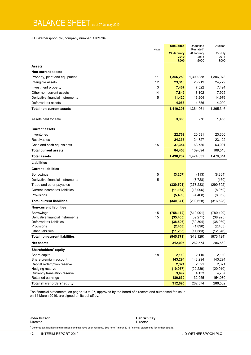### BALANCE SHEET as at 27 January 2019

J D Wetherspoon plc, company number: 1709784

|                                                           | Notes | <b>Unaudited</b>        | Unaudited<br>Restated <sup>1</sup> | Audited                 |
|-----------------------------------------------------------|-------|-------------------------|------------------------------------|-------------------------|
|                                                           |       | 27 January              | 28 January                         | 29 July                 |
|                                                           |       | 2019                    | 2018                               | 2018                    |
|                                                           |       | £000                    | £000                               | £000                    |
| <b>Assets</b>                                             |       |                         |                                    |                         |
| <b>Non-current assets</b>                                 |       |                         |                                    |                         |
| Property, plant and equipment                             | 11    | 1,356,259               | 1,300,358                          | 1,306,073               |
| Intangible assets                                         | 12    | 23,313                  | 28,219                             | 24,779                  |
| Investment property                                       | 13    | 7,467                   | 7,522                              | 7,494                   |
| Other non-current assets                                  | 14    | 7,849                   | 8,102                              | 7,925                   |
| Derivative financial instruments                          | 15    | 11,420                  | 16,204                             | 14,976                  |
| Deferred tax assets                                       |       | 4,088                   | 4,556                              | 4,099                   |
| Total non-current assets                                  |       | 1,410,396               | 1,364,961                          | 1,365,346               |
| Assets held for sale                                      |       | 3,383                   | 276                                | 1,455                   |
| <b>Current assets</b>                                     |       |                         |                                    |                         |
| Inventories                                               |       | 22,769                  | 20,531                             | 23,300                  |
| Receivables                                               |       | 24,335                  | 24,827                             | 23,122                  |
| Cash and cash equivalents                                 | 15    | 37,354                  | 63,736                             | 63,091                  |
| <b>Total current assets</b>                               |       | 84,458                  | 109,094                            | 109,513                 |
| <b>Total assets</b>                                       |       |                         | 1,474,331                          |                         |
|                                                           |       | 1,498,237               |                                    | 1,476,314               |
| <b>Liabilities</b>                                        |       |                         |                                    |                         |
| <b>Current liabilities</b>                                |       |                         |                                    |                         |
| <b>Borrowings</b>                                         | 15    | (3, 207)                | (113)                              | (8, 864)                |
| Derivative financial instruments                          | 15    |                         | (3,728)                            | (160)                   |
| Trade and other payables                                  |       | (320, 501)              | (278, 283)                         | (290, 602)              |
| Current income tax liabilities                            |       | (11, 164)               | (13,096)                           | (8,950)                 |
| Provisions                                                |       | (5, 499)                | (4, 408)                           | (8,052)                 |
| <b>Total current liabilities</b>                          |       | (340, 371)              | (299,628)                          | (316, 628)              |
| <b>Non-current liabilities</b>                            |       |                         |                                    |                         |
| <b>Borrowings</b>                                         | 15    | (758, 112)              | (819, 991)                         | (780, 420)              |
| Derivative financial instruments                          | 15    | (35, 465)               | (39, 271)                          | (38, 925)               |
| Deferred tax liabilities                                  |       | (38, 506)               | (39, 394)                          | (38,980)                |
| Provisions                                                |       | (2, 453)                | (1,890)                            | (2, 453)                |
| Other liabilities<br><b>Total non-current liabilities</b> |       | (11, 235)<br>(845, 771) | (11, 583)<br>(912, 129)            | (12, 346)<br>(873, 124) |
| Net assets                                                |       | 312,095                 | 262,574                            | 286,562                 |
| Shareholders' equity                                      |       |                         |                                    |                         |
| Share capital                                             | 18    | 2,110                   | 2,110                              | 2,110                   |
| Share premium account                                     |       | 143,294                 | 143,294                            | 143,294                 |
| Capital redemption reserve                                |       | 2,321                   | 2,321                              | 2,321                   |
| Hedging reserve                                           |       | (19, 957)               | (22, 239)                          | (20, 010)               |
| Currency translation reserve                              |       | 3,697                   | 4,133                              | 4,767                   |
| Retained earnings                                         |       | 180,630                 | 132,955                            | 154,080                 |
| Total shareholders' equity                                |       | 312,095                 | 262,574                            | 286,562                 |

The financial statements, on pages 10 to 27, approved by the board of directors and authorised for issue on 14 March 2019, are signed on its behalf by:

**John Hutson Ben Whitley**<br>
Director<br>
Director Director Director

 $1$  Deferred tax liabilities and retained earnings have been restated. See note 7 in our 2018 financial statements for further details.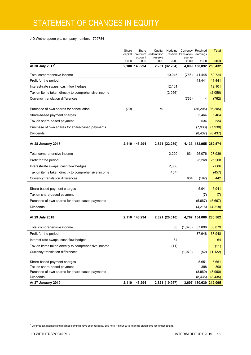### fdfdfds **STATEMENT OF CHANGES IN EQUITY**

#### J D Wetherspoon plc, company number: 1709784

|                                                           | Share<br>capital | Share<br>account      | Capital<br>premium redemption<br>reserve | Hedging                | reserve translation<br>reserve | Currency Retained<br>earnings | <b>Total</b> |
|-----------------------------------------------------------|------------------|-----------------------|------------------------------------------|------------------------|--------------------------------|-------------------------------|--------------|
| At 30 July 2017 <sup>1</sup>                              | £000             | £000<br>2,180 143,294 | £000                                     | £000<br>2,251 (32,284) | £000                           | £000<br>4,899 138,092 258,432 | £000         |
|                                                           |                  |                       |                                          |                        |                                |                               |              |
| Total comprehensive income                                |                  |                       |                                          | 10,045                 | (766)                          | 41,445                        | 50,724       |
| Profit for the period                                     |                  |                       |                                          |                        |                                | 41,441                        | 41,441       |
| Interest-rate swaps: cash flow hedges                     |                  |                       |                                          | 12,101                 |                                |                               | 12,101       |
| Tax on items taken directly to comprehensive income       |                  |                       |                                          | (2,056)                |                                |                               | (2,056)      |
| Currency translation differences                          |                  |                       |                                          |                        | (766)                          | 4                             | (762)        |
| Purchase of own shares for cancellation                   | (70)             |                       | 70                                       |                        |                                | $(36,205)$ $(36,205)$         |              |
| Share-based payment charges                               |                  |                       |                                          |                        |                                | 5,464                         | 5,464        |
| Tax on share-based payment                                |                  |                       |                                          |                        |                                | 534                           | 534          |
| Purchase of own shares for share-based payments           |                  |                       |                                          |                        |                                | (7,938)                       | (7,938)      |
| Dividends                                                 |                  |                       |                                          |                        |                                | (8, 437)                      | (8, 437)     |
|                                                           |                  |                       |                                          |                        |                                |                               |              |
| At 28 January 2018 <sup>1</sup>                           |                  | 2,110 143,294         |                                          | 2,321 (22,239)         |                                | 4,133 132,955 262,574         |              |
| Total comprehensive income                                |                  |                       |                                          | 2,229                  | 634                            | 25,076                        | 27,939       |
| Profit for the period                                     |                  |                       |                                          |                        |                                | 25,268                        | 25,268       |
| Interest-rate swaps: cash flow hedges                     |                  |                       |                                          | 2,686                  |                                |                               | 2,686        |
| Tax on items taken directly to comprehensive income       |                  |                       |                                          | (457)                  |                                |                               | (457)        |
| Currency translation differences                          |                  |                       |                                          |                        | 634                            | (192)                         | 442          |
| Share-based payment charges                               |                  |                       |                                          |                        |                                | 5,941                         | 5,941        |
| Tax on share-based payment                                |                  |                       |                                          |                        |                                | (7)                           | (7)          |
| Purchase of own shares for share-based payments           |                  |                       |                                          |                        |                                | (5,667)                       | (5,667)      |
| Dividends                                                 |                  |                       |                                          |                        |                                | (4,218)                       | (4,218)      |
|                                                           |                  |                       |                                          |                        |                                |                               |              |
| At 29 July 2018                                           |                  | 2,110 143,294         |                                          | 2,321 (20,010)         |                                | 4,767 154,080 286,562         |              |
| Total comprehensive income                                |                  |                       |                                          | 53                     | (1,070)                        | 37,896                        | 36,879       |
| Profit for the period                                     |                  |                       |                                          |                        |                                | 37,948                        | 37,948       |
| Interest-rate swaps: cash flow hedges                     |                  |                       |                                          | 64                     |                                |                               | 64           |
| Tax on items taken directly to comprehensive income       |                  |                       |                                          | (11)                   |                                |                               | (11)         |
| Currency translation differences                          |                  |                       |                                          |                        | (1,070)                        | (52)                          | (1, 122)     |
|                                                           |                  |                       |                                          |                        |                                |                               |              |
| Share-based payment charges<br>Tax on share-based payment |                  |                       |                                          |                        |                                | 5,651<br>398                  | 5,651<br>398 |
| Purchase of own shares for share-based payments           |                  |                       |                                          |                        |                                | (8,960)                       | (8,960)      |
| Dividends                                                 |                  |                       |                                          |                        |                                | (8, 435)                      | (8, 435)     |
| At 27 January 2019                                        |                  | 2,110 143,294         |                                          | 2,321 (19,957)         |                                | 3,697 180,630 312,095         |              |

 $1$  Deferred tax liabilities and retained earnings have been restated. See note 7 in our 2018 financial statements for further details.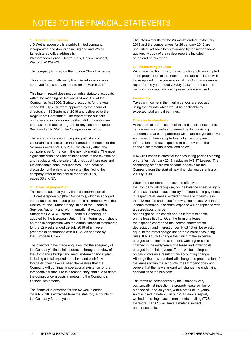### NOTES TO THE FINANCIAL STATEMENTS

#### **1. General information**

J D Wetherspoon plc is a public limited company, incorporated and domiciled in England and Wales. Its registered office address is: Wetherspoon House, Central Park, Reeds Crescent, Watford, WD24 4QL.

The company is listed on the London Stock Exchange.

This condensed half-yearly financial information was approved for issue by the board on 14 March 2019.

This interim report does not comprise statutory accounts within the meaning of Sections 434 and 435 of the Companies Act 2006. Statutory accounts for the year ended 29 July 2018 were approved by the board of directors on 13 September 2018 and delivered to the Registrar of Companies. The report of the auditors on those accounts was unqualified, did not contain an emphasis-of-matter paragraph or any statement under Sections 498 to 502 of the Companies Act 2006.

There are no changes to the principal risks and uncertainties as set out in the financial statements for the 52 weeks ended 29 July 2018, which may affect the company's performance in the next six months. The most significant risks and uncertainties relate to the taxation on, and regulation of, the sale of alcohol, cost increases and UK disposable consumer incomes. For a detailed discussion of the risks and uncertainties facing the company, refer to the annual report for 2018, pages 36 and 37.

#### **2. Basis of preparation**

This condensed half-yearly financial information of J D Wetherspoon plc (the 'Company'), which is abridged and unaudited, has been prepared in accordance with the Disclosure and Transparency Rules of the Financial Services Authority and with International Accounting Standards (IAS) 34, Interim Financial Reporting, as adopted by the European Union. This interim report should be read in conjunction with the annual financial statements for the 52 weeks ended 29 July 2018 which were prepared in accordance with IFRSs, as adopted by the European Union.

The directors have made enquiries into the adequacy of the Company's financial resources, through a review of the Company's budget and medium-term financial plan, including capital expenditure plans and cash flow forecasts; they have satisfied themselves that the Company will continue in operational existence for the foreseeable future. For this reason, they continue to adopt the going-concern basis in preparing the Company's financial statements.

The financial information for the 52 weeks ended 29 July 2018 is extracted from the statutory accounts of the Company for that year.

The interim results for the 26 weeks ended 27 January 2019 and the comparatives for 28 January 2018 are unaudited, yet have been reviewed by the independent auditors. A copy of the review report is included at the end of this report.

#### **3. Accounting policies**

With the exception of tax, the accounting policies adopted in the preparation of the interim report are consistent with those applied in the preparation of the Company's annual report for the year ended 29 July 2018 – and the same methods of computation and presentation are used.

#### **Income tax**

Taxes on income in the interim periods are accrued using the tax rate which would be applicable to expected total annual earnings.

#### **Changes in standards**

At the date of authorisation of these financial statements, certain new standards and amendments to existing standards have been published which are not yet effective and have not been adopted early by the Company. Information on those expected to be relevant to the financial statements is provided below:

IFRS 16 Leases is effective for accounting periods starting on or after 1 January 2019, replacing IAS 17 Leases. The accounting standard will become effective for the Company from the start of next financial year, starting on 29 July 2019.

When the new standard becomes effective

the Company will recognise, on the balance sheet, a rightof-use asset and a lease liability for future lease payments in respect of all leases, excluding those with terms less than 12 months and those for low-value assets. Within the income statement, the rental expense will be replaced with a depreciation charge

on the right-of-use assets and an interest expense on the lease liability. Over the term of a lease, the expense charged to the income statement for depreciation and interest under IFRS 16 will be exactly equal to the rental charge under the current accounting rules. IFRS 16 will change the timing of the expense charged to the income statement, with higher costs charged in the early years of a lease and lower costs charged in the latter years. There will be no impact on cash flows as a result of this accounting change. Although the new standard will change the presentation of the leases within the accounts, the Company does not believe that the new standard will change the underlying economics of the business.

The terms of leases taken by the Company vary, but typically, at inception, a property lease will be for a period of up to 30 years, with a break at 15 years. As disclosed in note 25, in our 2018 annual report, we had operating lease commitments totalling £728m; therefore, IFRS 16 will have a material impact on our accounts.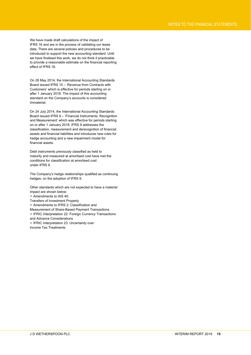We have made draft calculations of the impact of IFRS 16 and are in the process of validating our lease data. There are several policies and procedures to be introduced to support the new accounting standard. Until we have finalised this work, we do not think it practicable to provide a reasonable estimate on the financial reporting effect of IFRS 16.

On 28 May 2014, the International Accounting Standards Board issued IFRS 15 – 'Revenue from Contracts with Customers' which is effective for periods starting on or after 1 January 2018. The impact of this accounting standard on the Company's accounts is considered immaterial.

On 24 July 2014, the International Accounting Standards Board issued IFRS 9 – 'Financial Instruments: Recognition and Measurement' which was effective for periods starting on or after 1 January 2018. IFRS 9 addresses the classification, measurement and derecognition of financial assets and financial liabilities and introduces new rules for hedge accounting and a new impairment model for financial assets.

Debt instruments previously classified as held to maturity and measured at amortised cost have met the conditions for classification at amortised cost under IFRS 9.

The Company's hedge relationships qualified as continuing hedges, on the adoption of IFRS 9.

Other standards which are not expected to have a material impact are shown below:

- Amendments to IAS 40:
- Transfers of Investment Property
- Amendments to IFRS 2: Classification and
- Measurement of Share-Based Payment Transactions
- **IFRIC Interpretation 22: Foreign Currency Transactions** and Advance Considerations
- **IFRIC Interpretation 23: Uncertainty over**
- Income Tax Treatments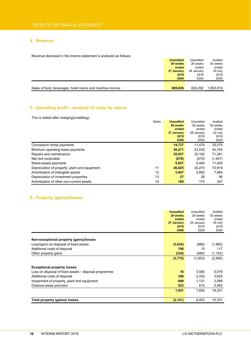#### **4. Revenue**

Revenue disclosed in the income statement is analysed as follows:

|                                                          | <b>Unaudited</b> | Unaudited  | Audited   |
|----------------------------------------------------------|------------------|------------|-----------|
|                                                          | 26 weeks         | 26 weeks   | 52 weeks  |
|                                                          | ended            | ended      | ended     |
|                                                          | 27 January       | 28 January | 29 July   |
|                                                          | 2019             | 2018       | 2018      |
|                                                          | £000             | £000       | £000      |
|                                                          |                  |            |           |
| Sales of food, beverages, hotel rooms and machine income | 889,606          | 830.392    | 1,693,818 |

#### **5. Operating profit – analysis of costs by nature**

This is stated after charging/(crediting):

| <b>Notes</b>                                        | <b>Unaudited</b> | Unaudited  | Audited  |
|-----------------------------------------------------|------------------|------------|----------|
|                                                     | 26 weeks         | 26 weeks   | 52 weeks |
|                                                     | ended            | ended      | ended    |
|                                                     | 27 January       | 28 January | 29 July  |
|                                                     | 2019             | 2018       | 2018     |
|                                                     | £000             | £000       | £000     |
| Concession rental payments                          | 14,737           | 11.474     | 25,075   |
| Minimum operating lease payments                    | 20,271           | 22.430     | 42,754   |
| Repairs and maintenance                             | 35.937           | 32,182     | 71.261   |
| Net rent receivable                                 | (678)            | (679)      | (1, 407) |
| Share-based payments                                | 5,651            | 5.464      | 11,405   |
| 11<br>Depreciation of property, plant and equipment | 36,825           | 34,270     | 70,918   |
| 12<br>Amortisation of intangible assets             | 3,847            | 3,992      | 7,984    |
| 13<br>Depreciation of investment properties         | 27               | 28         | 56       |
| 14<br>Amortisation of other non-current assets      | 169              | 170        | 347      |

#### **6. Property (gains)/losses**

|                                                       | <b>Unaudited</b> | Unaudited    | Audited      |
|-------------------------------------------------------|------------------|--------------|--------------|
|                                                       | 26 weeks         | 26 weeks     | 52 weeks     |
|                                                       | ended            | ended        | ended        |
|                                                       | 27 January       | 28 January   | 29 July      |
|                                                       | 2019<br>£000     | 2018<br>£000 | 2018<br>£000 |
|                                                       |                  |              |              |
| Non-exceptional property (gains)/losses               |                  |              |              |
| Loss/(gain) on disposal of fixed assets               | (3,634)          | (988)        | (1,865)      |
| Additional costs of disposal                          | 196              | 15           | 117          |
| Other property gains                                  | (334)            | (680)        | (1, 152)     |
|                                                       | (3, 772)         | (1,653)      | (2,900)      |
| <b>Exceptional property losses</b>                    |                  |              |              |
| Loss on disposal of fixed assets – disposal programme | 16               | 3,580        | 5,076        |
| Additional costs of disposal                          | 306              | 2,330        | 3,625        |
| Impairment of property, plant and equipment           | 806              | 1,131        | 3,588        |
| Onerous lease provision                               | 523              | 615          | 5,962        |
|                                                       | 1,651            | 7,656        | 18,251       |
|                                                       |                  |              |              |
| Total property (gains)/ losses                        | (2, 121)         | 6,003        | 15,351       |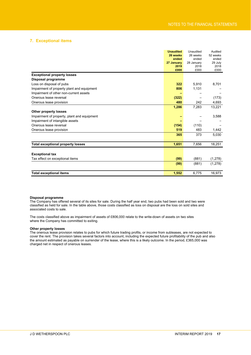#### **7. Exceptional items**

|                                             | <b>Unaudited</b>    | Unaudited           | Audited          |
|---------------------------------------------|---------------------|---------------------|------------------|
|                                             | 26 weeks            | 26 weeks            | 52 weeks         |
|                                             | ended<br>27 January | ended<br>28 January | ended<br>29 July |
|                                             | 2019                | 2018                | 2018             |
|                                             | £000                | £000                | £000             |
| <b>Exceptional property losses</b>          |                     |                     |                  |
| Disposal programme                          |                     |                     |                  |
| Loss on disposal of pubs                    | 322                 | 5,910               | 8,701            |
| Impairment of property plant and equipment  | 806                 | 1,131               |                  |
| Impairment of other non-current assets      |                     |                     |                  |
| Onerous lease reversal                      | (322)               |                     | (173)            |
| Onerous lease provision                     | 480                 | 242                 | 4,693            |
|                                             | 1,286               | 7,283               | 13,221           |
| Other property losses                       |                     |                     |                  |
| Impairment of property, plant and equipment |                     |                     | 3,588            |
| Impairment of intangible assets             |                     |                     |                  |
| Onerous lease reversal                      | (154)               | (110)               |                  |
| Onerous lease provision                     | 519                 | 483                 | 1,442            |
|                                             | 365                 | 373                 | 5,030            |
| <b>Total exceptional property losses</b>    | 1,651               | 7,656               | 18,251           |
|                                             |                     |                     |                  |
| <b>Exceptional tax</b>                      |                     |                     |                  |
| Tax effect on exceptional items             | (99)                | (881)               | (1, 278)         |
|                                             | (99)                | (881)               | (1,278)          |
| <b>Total exceptional items</b>              | 1,552               | 6,775               | 16,973           |

#### **Disposal programme**

The Company has offered several of its sites for sale. During the half year end, two pubs had been sold and two were classified as held for sale. In the table above, those costs classified as loss on disposal are the loss on sold sites and associated costs to sale.

The costs classified above as impairment of assets of £806,000 relate to the write-down of assets on two sites where the Company has committed to exiting.

#### **Other property losses**

The onerous lease provision relates to pubs for which future trading profits, or income from subleases, are not expected to cover the rent. The provision takes several factors into account, including the expected future profitability of the pub and also the amount estimated as payable on surrender of the lease, where this is a likely outcome. In the period, £365,000 was charged net in respect of onerous leases.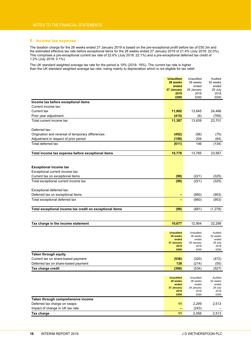#### **8. Income tax expense**

The taxation charge for the 26 weeks ended 27 January 2019 is based on the pre-exceptional profit before tax of £50.3m and the estimated effective tax rate before exceptional items for the 26 weeks ended 27 January 2019 of 21.4% (July 2018: 22.0%). This comprises a pre-exceptional current tax rate of 22.6% (July 2018: 22.1%) and a pre-exceptional deferred tax credit of 1.2% (July 2018: 0.1%).

The UK standard weighted average tax rate for the period is 19% (2018: 19%). The current tax rate is higher than the UK standard weighted average tax rate, owing mainly to depreciation which is not eligible for tax relief.

|                                                          | <b>Unaudited</b>             | Unaudited             | Audited             |
|----------------------------------------------------------|------------------------------|-----------------------|---------------------|
|                                                          | 26 weeks                     | 26 weeks              | 52 weeks            |
|                                                          | ended<br>27 January          | ended<br>28 January   | ended               |
|                                                          | 2019                         | 2018                  | 29 July<br>2018     |
|                                                          | £000                         | £000                  | £000                |
| Income tax before exceptional items                      |                              |                       |                     |
| Current income tax:                                      |                              |                       |                     |
| Current tax                                              | 11,802                       | 13,645                | 24,466              |
| Prior year adjustment                                    | (415)                        | (6)                   | (765)               |
| Total current income tax                                 | 11,387                       | 13,639                | 23,701              |
| Deferred tax:                                            |                              |                       |                     |
| Origination and reversal of temporary differences        | (452)                        | (58)                  | (70)                |
| Adjustment in respect of prior period                    | (159)                        | 204                   | (64)                |
| Total deferred tax                                       | (611)                        | 146                   | (134)               |
| Total income tax expense before exceptional items        | 10,776                       | 13,785                | 23,567              |
|                                                          |                              |                       |                     |
| <b>Exceptional income tax</b>                            |                              |                       |                     |
| Exceptional current income tax:                          |                              |                       |                     |
| Current tax on exceptional items                         | (99)                         | (221)                 | (325)               |
| Total exceptional current income tax                     | (99)                         | (221)                 | (325)               |
| Exceptional deferred tax:                                |                              |                       |                     |
| Deferred tax on exceptional items                        | ۰                            | (660)                 | (953)               |
| Total exceptional deferred tax                           |                              | (660)                 | (953)               |
| Total exceptional income tax credit on exceptional items | (99)                         | (881)                 | (1,278)             |
|                                                          |                              |                       |                     |
| Tax charge in the income statement                       | 10,677                       | 12,904                | 22,289              |
|                                                          |                              |                       |                     |
|                                                          | <b>Unaudited</b><br>26 weeks | Unaudited<br>26 weeks | Audited<br>52 weeks |
|                                                          | ended                        | ended                 | ended               |
|                                                          | 27 January                   | 28 January            | 29 July             |
|                                                          | 2019<br>£000                 | 2018<br>£000          | 2018<br>£000        |
| Taken through equity                                     |                              |                       |                     |
| Current tax on share-based payment                       | (536)                        | (320)                 | (472)               |
| Deferred tax on share-based payment                      | 138                          | (214)                 | (55)                |
| Tax charge credit                                        | (398)                        | (534)                 | (527)               |
|                                                          |                              |                       |                     |
|                                                          | <b>Unaudited</b>             | Unaudited             | Audited             |
|                                                          | 26 weeks<br>ended            | 26 weeks<br>ended     | 52 weeks<br>ended   |
|                                                          | 27 January                   | 28 January            | 29 July             |
|                                                          | 2019                         | 2018                  | 2018                |
|                                                          | £000                         | £000                  | £000                |
| Taken through comprehensive income                       |                              |                       |                     |
| Deferred tax charge on swaps                             | 11                           | 2,299                 | 2,513               |
| Impact of change in UK tax rate                          |                              | (243)                 |                     |
| Tax charge                                               | 11                           | 2,056                 | 2,513               |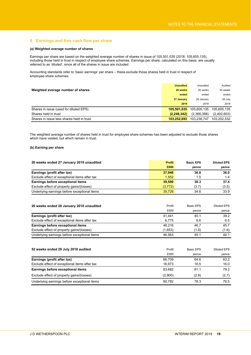#### **9. Earnings and free cash flow per share**

#### **(a) Weighted average number of shares**

Earnings per share are based on the weighted average number of shares in issue of 105,501,035 (2018: 105,605,135), including those held in trust in respect of employee share schemes. Earnings per share, calculated on this basis, are usually referred to as 'diluted', since all of the shares in issue are included.

Accounting standards refer to 'basic earnings' per share – these exclude those shares held in trust in respect of employee share schemes.

|                                           | <b>Unaudited</b> | Unaudited   | Audited     |
|-------------------------------------------|------------------|-------------|-------------|
| Weighted average number of shares         | 26 weeks         | 26 weeks    | 52 weeks    |
|                                           | ended            | ended       | ended       |
|                                           | 27 January       | 28 January  | 29 July     |
|                                           | 2019             | 2018        | 2018        |
| Shares in issue (used for diluted EPS)    | 105.501.035      | 105.605.135 | 105.605.135 |
| Shares held in trust                      | (2, 248, 342)    | (2,366,388) | (2,402,603) |
| Shares in issue less shares held in trust | 103.252.693      | 103.238.747 | 103.202.532 |

The weighted average number of shares held in trust for employee share schemes has been adjusted to exclude those shares which have vested, but which remain in trust.

#### **(b) Earning per share**

| 26 weeks ended 27 January 2019 unaudited      | <b>Profit</b> | <b>Basic EPS</b> | <b>Diluted EPS</b> |
|-----------------------------------------------|---------------|------------------|--------------------|
|                                               | £000          | pence            | pence              |
| Earnings (profit after tax)                   | 37.948        | 36.8             | 36.0               |
| Exclude effect of exceptional items after tax | 1.552         | 1.5              | 1.4                |
| Earnings before exceptional items             | 39,500        | 38.3             | 37.4               |
| Exclude effect of property gains/(losses)     | (3,772)       | (3.7)            | (3.5)              |
| Underlying earnings before exceptional items  | 35.728        | 34.6             | 33.9               |

| 26 weeks ended 28 January 2018 unaudited      | Profit  | Basic EPS | Diluted EPS |
|-----------------------------------------------|---------|-----------|-------------|
|                                               | £000    | pence     | pence       |
| Earnings (profit after tax)                   | 41.441  | 40.1      | 39.2        |
| Exclude effect of exceptional items after tax | 6.775   | 6.6       | 6.5         |
| Earnings before exceptional items             | 48.216  | 46.7      | 45.7        |
| Exclude effect of property gains/(losses)     | (1,653) | (1.6)     | (1.6)       |
| Underlying earnings before exceptional items  | 46.563  | 45.1      | 44.1        |

| 52 weeks ended 29 July 2018 audited           | Profit<br>£000 | Basic EPS<br>pence | <b>Diluted EPS</b><br>pence |
|-----------------------------------------------|----------------|--------------------|-----------------------------|
|                                               | 66.709         | 64.6               | 63.2                        |
| Earnings (profit after tax)                   |                |                    |                             |
| Exclude effect of exceptional items after tax | 16.973         | 16.5               | 16.0                        |
| Earnings before exceptional items             | 83.682         | 81.1               | 79.2                        |
| Exclude effect of property gains/(losses)     | (2,900)        | (2.8)              | (2.7)                       |
| Underlying earnings before exceptional items  | 80.782         | 78.3               | 76.5                        |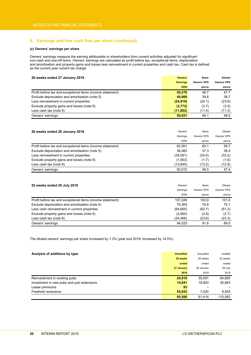#### **9. Earnings and free cash flow per share (continued)**

#### **(c) Owners' earnings per share**

Owners' earnings measure the earning attributable to shareholders from current activities adjusted for significant non-cash and one-off items. Owners' earnings are calculated as profit before tax, exceptional items, depreciation and amortisation and property gains and losses less reinvestment in current properties and cash tax. Cash tax is defined as the current year current tax charge.

| 26 weeks ended 27 January 2019                             | Owners'         | <b>Basic</b>       | <b>Diluted</b>     |
|------------------------------------------------------------|-----------------|--------------------|--------------------|
|                                                            | <b>Earnings</b> | <b>Owners' EPS</b> | <b>Owners' EPS</b> |
|                                                            | £000            | pence              | pence              |
| Profit before tax and exceptional items (income statement) | 50.276          | 48.7               | 47.7               |
| Exclude depreciation and amortisation (note 5)             | 40.868          | 39.6               | 38.7               |
| Less reinvestment in current properties                    | (24, 919)       | (24.1)             | (23.6)             |
| Exclude property gains and losses (note 6)                 | (3,772)         | (3.7)              | (3.5)              |
| Less cash tax (note 8)                                     | (11, 802)       | (11.4)             | (11.3)             |
| Owners' earnings                                           | 50.651          | 49.1               | 48.0               |

| 26 weeks ended 28 January 2018                             | Owners'  | Basic       | Diluted     |
|------------------------------------------------------------|----------|-------------|-------------|
|                                                            | Earnings | Owners' EPS | Owners' EPS |
|                                                            | £000     | pence       | pence       |
| Profit before tax and exceptional items (income statement) | 62.001   | 60.1        | 58.7        |
| Exclude depreciation and amortisation (note 5)             | 38.460   | 37.3        | 36.4        |
| Less reinvestment in current properties                    | (35,091) | (34.0)      | (33.2)      |
| Exclude property gains and losses (note 6)                 | (1,653)  | (1.7)       | (1.6)       |
| Less cash tax (note 8)                                     | (13,645) | (13.2)      | (12.9)      |
| Owners' earnings                                           | 50.072   | 48.5        | 47.4        |

| 52 weeks ended 29 July 2018                                | Owners'   | Basic       | Diluted     |
|------------------------------------------------------------|-----------|-------------|-------------|
|                                                            | Earnings  | Owners' EPS | Owners' EPS |
|                                                            | £000      | pence       | pence       |
| Profit before tax and exceptional items (income statement) | 107.249   | 103.9       | 101.6       |
| Exclude depreciation and amortisation (note 5)             | 79.305    | 76.8        | 75.1        |
| Less cash reinvestment in current properties               | (64, 665) | (62.7)      | (61.2)      |
| Exclude property gains and losses (note 6)                 | (2,900)   | (2.8)       | (2.7)       |
| Less cash tax (note 8)                                     | (24, 466) | (23.6)      | (23.3)      |
| Owners' earnings                                           | 94.523    | 91.6        | 89.5        |

The diluted owners' earnings per share increased by 1.3% (year end 2018: increased by 14.5%).

| Analysis of additions by type             | <b>Unaudited</b> | Unaudited  | Audited  |
|-------------------------------------------|------------------|------------|----------|
|                                           | 26 weeks         | 26 weeks   | 52 weeks |
|                                           | ended            | ended      | ended    |
|                                           | 27 January       | 28 January | 29 July  |
|                                           | 2019             | 2018       | 2018     |
| Reinvestment in existing pubs             | 24,919           | 35,091     | 64,665   |
| Investment in new pubs and pub extensions | 14,841           | 18.803     | 35,863   |
|                                           |                  |            |          |
| Lease premiums                            | 93               |            |          |
| Freehold reversions                       | 55,653           | 7,520      | 9,555    |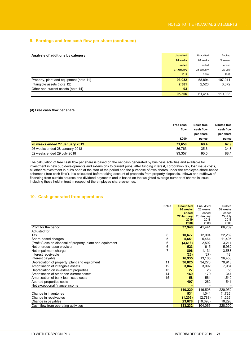#### **9. Earnings and free cash flow per share (continued)**

| Analysis of additions by category       | <b>Unaudited</b> | Unaudited  | Audited  |
|-----------------------------------------|------------------|------------|----------|
|                                         | 26 weeks         | 26 weeks   | 52 weeks |
|                                         | ended            | ended      | ended    |
|                                         | 27 January       | 28 January | 29 July  |
|                                         | 2019             | 2018       | 2018     |
| Property, plant and equipment (note 11) | 93.032           | 58.894     | 107.011  |
| Intangible assets (note 12)             | 2,381            | 2.520      | 3,072    |
| Other non-current assets (note 14)      | 93               |            |          |
|                                         | 95,506           | 61.414     | 110.083  |

#### **(d) Free cash flow per share**

|                                | Free cash | <b>Basic free</b> | <b>Diluted free</b> |
|--------------------------------|-----------|-------------------|---------------------|
|                                | flow      | cash flow         | cash flow           |
|                                |           | per share         | per share           |
|                                | £000      | pence             | pence               |
| 26 weeks ended 27 January 2019 | 71.650    | 69.4              | 67.9                |
| 26 weeks ended 28 January 2018 | 36.763    | 35.6              | 34.8                |
| 52 weeks ended 29 July 2018    | 93.357    | 90.5              | 88.4                |

The calculation of free cash flow per share is based on the net cash generated by business activities and available for investment in new pub developments and extensions to current pubs, after funding interest, corporation tax, loan issue costs, all other reinvestment in pubs open at the start of the period and the purchase of own shares under the employee share-based schemes ('free cash flow'). It is calculated before taking account of proceeds from property disposals, inflows and outflows of financing from outside sources and dividend payments and is based on the weighted average number of shares in issue, including those held in trust in respect of the employee share schemes.

#### **10. Cash generated from operations**

|                                                            | <b>Notes</b>   | <b>Unaudited</b><br>26 weeks | Unaudited<br>26 weeks | Audited<br>52 weeks |
|------------------------------------------------------------|----------------|------------------------------|-----------------------|---------------------|
|                                                            |                | ended                        | ended                 | ended               |
|                                                            |                | 27 January                   | 28 January            | 29 July             |
|                                                            |                | 2019                         | 2018                  | 2018                |
|                                                            |                | £000                         | £000                  | £000                |
| Profit for the period                                      |                | 37,948                       | 41,441                | 66,709              |
| Adjusted for:                                              |                |                              |                       |                     |
| Tax                                                        | 8              | 10,677                       | 12,904                | 22,289              |
| Share-based charges                                        | 5              | 5,651                        | 5,464                 | 11,405              |
| (Profit)/Loss on disposal of property, plant and equipment | 6              | (3,618)                      | 2,592                 | 3,211               |
| Net onerous lease provision                                | 6              | 523                          | 615                   | 5,962               |
| Net impairment charge                                      | $\overline{7}$ | 806                          | 1,131                 | 3,588               |
| Interest receivable                                        |                | (26)                         | (27)                  | (48)                |
| Interest payable                                           |                | 16,935                       | 13,105                | 26,450              |
| Depreciation of property, plant and equipment              | 11             | 36,825                       | 34,270                | 70,918              |
| Amortisation of intangible assets                          | 12             | 3,847                        | 3,992                 | 7,984               |
| Depreciation on investment properties                      | 13             | 27                           | 28                    | 56                  |
| Amortisation of other non-current assets                   | 14             | 169                          | 170                   | 347                 |
| Amortisation of bank loan issue costs                      | 15             | 58                           | 561                   | 1,540               |
| Aborted properties costs                                   |                | 407                          | 262                   | 541                 |
| Net exceptional finance income                             |                |                              |                       |                     |
|                                                            |                | 110,229                      | 116,508               | 220,952             |
| Change in inventories                                      |                | 531                          | 1,044                 | (1,725)             |
| Change in receivables                                      |                | (1, 206)                     | (2,788)               | (1,225)             |
| Change in payables                                         |                | 23,678                       | (10,698)              | 10,298              |
| Cash flow from operating activities                        |                | 133,232                      | 104,066               | 228,300             |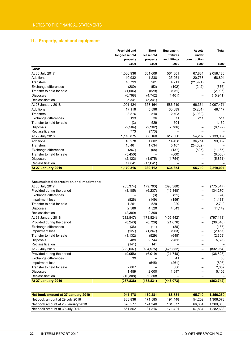#### **11. Property, plant and equipment**

|                           | <b>Freehold and</b><br>long-leasehold<br>property | Short-<br>leasehold<br>property | Equipment,<br>fixtures<br>and fittings | <b>Assets</b><br>under<br>construction | <b>Total</b> |
|---------------------------|---------------------------------------------------|---------------------------------|----------------------------------------|----------------------------------------|--------------|
|                           | £000                                              | £000                            | £000                                   | £000                                   | £000         |
| Cost:                     |                                                   |                                 |                                        |                                        |              |
| At 30 July 2017           | 1,066,936                                         | 361,609                         | 561,801                                | 67,834                                 | 2,058,180    |
| <b>Additions</b>          | 10,932                                            | 1,238                           | 25,961                                 | 20,763                                 | 58,894       |
| <b>Transfers</b>          | 16,799                                            | 981                             | 4,211                                  | (21, 991)                              |              |
| Exchange differences      | (280)                                             | (52)                            | (102)                                  | (242)                                  | (676)        |
| Transfer to held for sale | (1,506)                                           | (529)                           | (951)                                  |                                        | (2,986)      |
| Disposals                 | (6,798)                                           | (4, 742)                        | (4, 401)                               |                                        | (15, 941)    |
| Reclassification          | 5,341                                             | (5, 341)                        |                                        |                                        |              |
| At 28 January 2018        | 1,091,424                                         | 353,164                         | 586,519                                | 66,364                                 | 2,097,471    |
| <b>Additions</b>          | 17,116                                            | 5,596                           | 30,689                                 | (5,284)                                | 48,117       |
| <b>Transfers</b>          | 3.876                                             | 510                             | 2,703                                  | (7,089)                                |              |
| Exchange differences      | 193                                               | 36                              | 71                                     | 211                                    | 511          |
| Transfer to held for sale | (3)                                               | 529                             | 604                                    |                                        | 1,130        |
| Disposals                 | (2,504)                                           | (2,902)                         | (2,786)                                |                                        | (8, 192)     |
| Reclassification          | 773                                               | (773)                           |                                        |                                        |              |
| At 29 July 2018           | 1,110,875                                         | 356,160                         | 617,800                                | 54,202                                 | 2,139,037    |
| <b>Additions</b>          | 40.278                                            | 1.602                           | 14,438                                 | 36,714                                 | 93,032       |
| <b>Transfers</b>          | 18,461                                            | 1,034                           | 5,107                                  | (24, 602)                              |              |
| Exchange differences      | (367)                                             | (68)                            | (137)                                  | (595)                                  | (1, 167)     |
| Transfer to held for sale | (5, 450)                                          |                                 | (600)                                  |                                        | (6,050)      |
| Disposals                 | (2, 122)                                          | (1, 975)                        | (1,754)                                |                                        | (5,851)      |
| Reclassification          | 17,641                                            | (17, 641)                       |                                        |                                        |              |
| At 27 January 2019        | 1,179,316                                         | 339,112                         | 634,854                                | 65,719                                 | 2,219,001    |
|                           |                                                   |                                 |                                        |                                        |              |

#### **Accumulated depreciation and impairment:**

| At 30 July 2017            | (205, 374) | (179, 793) | (390, 380) |   | (775, 547) |
|----------------------------|------------|------------|------------|---|------------|
| Provided during the period | (8, 185)   | (6, 237)   | (19, 848)  |   | (34, 270)  |
| Exchange differences       |            | (3)        | (21)       |   | (24)       |
| Impairment loss            | (826)      | (149)      | (156)      |   | (1, 131)   |
| Transfer to held for sale  | 1,261      | 529        | 920        |   | 2,710      |
| Disposals                  | 2,586      | 4,520      | 4,043      |   | 11,149     |
| Reclassification           | (2,309)    | 2,309      |            |   |            |
| At 28 January 2018         | (212, 847) | (178, 824) | (405,442)  |   | (797, 113) |
| Provided during the period | (8, 243)   | (6, 729)   | (21, 676)  |   | (36, 648)  |
| Exchange differences       | (36)       | (11)       | (88)       |   | (135)      |
| Impairment loss            | (127)      | (1, 367)   | (963)      |   | (2, 457)   |
| Transfer to held for sale  | (1, 132)   | (529)      | (648)      |   | (2,309)    |
| Disposals                  | 489        | 2,744      | 2,465      |   | 5,698      |
| Reclassification           | (141)      | 141        |            |   |            |
| At 29 July 2018            | (222,037)  | (184, 575) | (426,352)  |   | (832,964)  |
| Provided during the period | (9,058)    | (6,019)    | (21, 748)  |   | (36, 825)  |
| Exchange differences       | 39         |            | 41         |   | 80         |
| Impairment loss            |            | (545)      | (261)      |   | (806)      |
| Transfer to held for sale  | 2,067      |            | 600        |   | 2,667      |
| Disposals                  | 1,459      | 2,000      | 1,647      |   | 5,106      |
| Reclassification           | (10, 308)  | 10,308     |            |   |            |
| At 27 January 2019         | (237, 838) | (178, 831) | (446, 073) | - | (862, 742) |

| Net book amount at 27 January 2019 | 941.478 | 160.281 | 188.781 | 65.719 | 1.356.259 |
|------------------------------------|---------|---------|---------|--------|-----------|
| Net book amount at 29 July 2018    | 888.838 | 171.585 | 191.448 | 54.202 | 1.306.073 |
| Net book amount at 28 January 2018 | 878.577 | 174.340 | 181.077 | 66.364 | 1.300.358 |
| Net book amount at 30 July 2017    | 861.562 | 181.816 | 171.421 | 67.834 | 1.282.633 |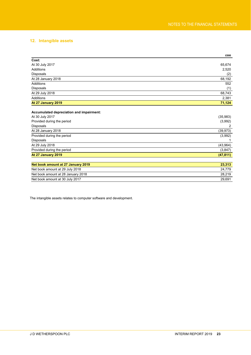#### **12. Intangible assets**

|                                          | £000      |
|------------------------------------------|-----------|
| Cost:                                    |           |
| At 30 July 2017                          | 65,674    |
| Additions                                | 2,520     |
| Disposals                                | (2)       |
| At 28 January 2018                       | 68,192    |
| <b>Additions</b>                         | 552       |
| Disposals                                | (1)       |
| At 29 July 2018                          | 68,743    |
| <b>Additions</b>                         | 2,381     |
| At 27 January 2019                       | 71,124    |
| Accumulated depreciation and impairment: |           |
| At 30 July 2017                          | (35,983)  |
| Provided during the period               | (3,992)   |
| Disposals                                | 2         |
| At 28 January 2018                       | (39, 973) |
| Provided during the period               | (3,992)   |
| <b>Disposals</b>                         |           |
| At 29 July 2018                          | (43,964)  |
| Provided during the period               | (3, 847)  |
| At 27 January 2019                       | (47, 811) |
|                                          |           |
| Net book amount at 27 January 2019       | 23,313    |
| Net book amount at 29 July 2018          | 24,779    |
| Net book amount at 28 January 2018       | 28,219    |
| Net book amount at 30 July 2017          | 29,691    |

The intangible assets relates to computer software and development.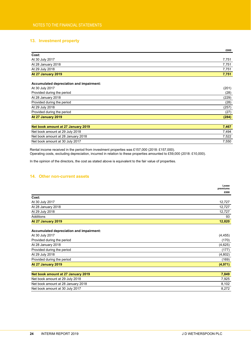#### **13. Investment property**

|                    | £000  |
|--------------------|-------|
| Cost:              |       |
| At 30 July 2017    | 7,751 |
| At 28 January 2018 | 7.751 |
| At 29 July 2018    | 7.751 |
| At 27 January 2019 | 7,751 |
|                    |       |

#### **Accumulated depreciation and impairment:**

| At 30 July 2017                    | (201) |
|------------------------------------|-------|
| Provided during the period         | (28)  |
| At 28 January 2018                 | (229) |
| Provided during the period         | (28)  |
| At 29 July 2018                    | (257) |
| Provided during the period         | (27)  |
| At 27 January 2019                 | (284) |
| Net book amount at 27 January 2019 | 7,467 |
| Net book amount at 29 July 2018    | 7,494 |
| Net book amount at 28 January 2018 | 7,522 |

Net book amount at 30 July 2017 7,550

Rental income received in the period from investment properties was £157,000 (2018: £157,000). Operating costs, excluding depreciation, incurred in relation to these properties amounted to £59,000 (2018: £10,000).

In the opinion of the directors, the cost as stated above is equivalent to the fair value of properties.

#### **14. Other non-current assets**

|                                          | Lease<br>premiums<br>£000 |
|------------------------------------------|---------------------------|
| Cost:                                    |                           |
| At 30 July 2017                          | 12,727                    |
| At 28 January 2018                       | 12,727                    |
| At 29 July 2018                          | 12,727                    |
| Additions                                | 93                        |
| At 27 January 2019                       | 12,820                    |
| Accumulated depreciation and impairment: |                           |
| At 30 July 2017                          | (4, 455)                  |
| Provided during the period               | (170)                     |
| At 28 January 2018                       | (4,625)                   |
| Provided during the period               | (177)                     |
| At 29 July 2018                          | (4,802)                   |
| Provided during the period               | (169)                     |
| At 27 January 2019                       | (4, 971)                  |
| Net book amount at 27 January 2019       | 7,849                     |
| Net book amount at 29 July 2018          | 7,925                     |
|                                          |                           |

| $\frac{1}{2}$                      | .     |
|------------------------------------|-------|
| Net book amount at 29 July 2018    | 7.925 |
| Net book amount at 28 January 2018 | 8.102 |
| Net book amount at 30 July 2017    | 8.272 |
|                                    |       |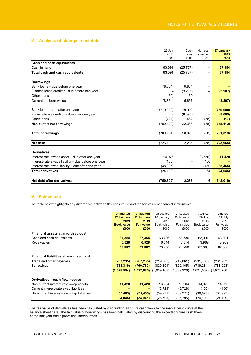#### **15. Analysis of change in net debt**

|                                                     | 29 July<br>2018<br>£000 | Cash<br>flows<br>£000 | Non-cash<br>movement<br>£000 | 27 January<br>2019<br>£000 |
|-----------------------------------------------------|-------------------------|-----------------------|------------------------------|----------------------------|
| Cash and cash equivalents                           |                         |                       |                              |                            |
| Cash in hand                                        | 63,091                  | (25, 737)             |                              | 37,354                     |
| Total cash and cash equivalents                     | 63,091                  | (25, 737)             | $\overline{\phantom{0}}$     | 37,354                     |
|                                                     |                         |                       |                              |                            |
| <b>Borrowings</b>                                   |                         |                       |                              |                            |
| Bank loans - due before one year                    | (8,804)                 | 8,804                 |                              |                            |
| Finance lease creditor - due before one year        |                         | (3,207)               | -                            | (3,207)                    |
| Other loans                                         | (60)                    | 60                    |                              |                            |
| Current net borrowings                              | (8,864)                 | 5,657                 | —                            | (3, 207)                   |
| Bank loans - due after one year                     | (779, 999)              | 29,999                | —                            | (750,000)                  |
| Finance lease creditor - due after one year         |                         | (8,095)               |                              | (8,095)                    |
| Other loans                                         | (421)                   | 462                   | (58)                         | (17)                       |
| Non-current net borrowings                          | (780, 420)              | 22,366                | (58)                         | (758, 112)                 |
| <b>Total borrowings</b>                             | (789, 284)              | 28,023                | (58)                         | (761, 319)                 |
| Net debt                                            | (726, 193)              | 2,286                 | (58)                         | (723, 965)                 |
|                                                     |                         |                       |                              |                            |
| <b>Derivatives</b>                                  |                         |                       |                              |                            |
| Interest-rate swaps asset - due after one year      | 14,976                  |                       | (3,556)                      | 11,420                     |
| Interest-rate swaps liability – due before one year | (160)                   |                       | 160                          |                            |
| Interest-rate swap liability – due after one year   | (38, 925)               |                       | 3,460                        | (35, 465)                  |
| <b>Total derivatives</b>                            | (24, 109)               | $\qquad \qquad -$     | 64                           | (24, 045)                  |
| Net debt after derivatives                          |                         | 2.286                 | 6                            |                            |
|                                                     | (750, 302)              |                       |                              | (748, 010)                 |

#### **16. Fair values**

The table below highlights any differences between the book value and the fair value of financial instruments.

|                                                | <b>Unaudited</b><br>27 January | <b>Unaudited</b><br>27 January | Unaudited<br>28 January     | Unaudited<br>28 January | Audited<br>29 July | Audited<br>29 July |
|------------------------------------------------|--------------------------------|--------------------------------|-----------------------------|-------------------------|--------------------|--------------------|
|                                                | 2019                           | 2019                           | 2018                        | 2018                    | 2018               | 2018               |
|                                                | <b>Book value</b>              | <b>Fair value</b>              | Book value                  | Fair value              | Book value         | Fair value         |
|                                                | £000                           | £000                           | £000                        | £000                    | £000               | £000               |
| Financial assets at amortised cost             |                                |                                |                             |                         |                    |                    |
| Cash and cash equivalents                      | 37,354                         | 37,354                         | 63,736                      | 63,736                  | 63,091             | 63,091             |
| <b>Receivables</b>                             | 6,528                          | 6,528                          | 6,514                       | 6,514                   | 3,969              | 3,969              |
|                                                | 43,882                         | 43,882                         | 70,250                      | 70,250                  | 67,060             | 67,060             |
| <b>Financial liabilities at amortised cost</b> |                                |                                |                             |                         |                    |                    |
| Trade and other payables                       | (267, 235)                     | (267, 235)                     | (219,061)                   | (219,061)               | (231, 783)         | (231, 783)         |
| <b>Borrowings</b>                              | (761, 319)                     | (760,750)                      | (820,104)                   | (820, 165)              | (789,284)          | (788,923)          |
|                                                | (1,028,554)                    |                                | $(1,027,985)$ $(1,039,165)$ | (1,039,226)             | (1,021,067)        | (1,020,706)        |
| Derivatives - cash flow hedges                 |                                |                                |                             |                         |                    |                    |
| Non-current interest-rate swap assets          | 11,420                         | 11,420                         | 16,204                      | 16,204                  | 14,976             | 14,976             |
| Current interest-rate swap liabilities         |                                |                                | (3,728)                     | (3,728)                 | (160)              | (160)              |
| Non-current interest-rate swap liabilities     | (35, 465)                      | (35, 465)                      | (39, 271)                   | (39, 271)               | (38,925)           | (38, 925)          |
|                                                | (24,045)                       | (24, 045)                      | (26,795)                    | (26, 795)               | (24,109)           | (24,109)           |

The fair value of derivatives has been calculated by discounting all future cash flows by the market yield curve at the balance sheet date. The fair value of borrowings has been calculated by discounting the expected future cash flows at the half year end's prevailing interest rates.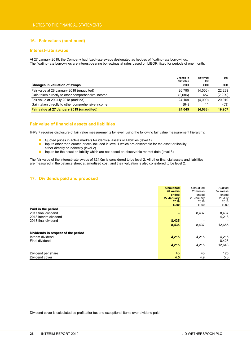#### **16. Fair values (continued)**

#### **Interest-rate swaps**

At 27 January 2019, the Company had fixed-rate swaps designated as hedges of floating-rate borrowings. The floating-rate borrowings are interest-bearing borrowings at rates based on LIBOR, fixed for periods of one month.

|                                                   | Change in<br>fair value | <b>Deferred</b><br>tax | Total   |
|---------------------------------------------------|-------------------------|------------------------|---------|
| Changes in valuation of swaps                     | £000                    | £000                   | £000    |
| Fair value at 28 January 2018 (unaudited)         | 26.795                  | (4,556)                | 22,239  |
| Gain taken directly to other comprehensive income | (2,686)                 | 457                    | (2,229) |
| Fair value at 29 July 2018 (audited)              | 24.109                  | (4,099)                | 20.010  |
| Gain taken directly to other comprehensive income | (64)                    | 11                     | (53)    |
| Fair value at 27 January 2019 (unaudited)         | 24.045                  | (4,088)                | 19.957  |

#### **Fair value of financial assets and liabilities**

IFRS 7 requires disclosure of fair value measurements by level, using the following fair value measurement hierarchy:

- Quoted prices in active markets for identical assets or liabilities (level 1)
- Inputs other than quoted prices included in level 1 which are observable for the asset or liability,
- either directly or indirectly (level 2)
- Inputs for the asset or liability which are not based on observable market data (level 3)

The fair value of the interest-rate swaps of £24.0m is considered to be level 2. All other financial assets and liabilities are measured in the balance sheet at amortised cost, and their valuation is also considered to be level 2.

#### **17. Dividends paid and proposed**

|                                    | <b>Unaudited</b> | Unaudited  | Audited  |
|------------------------------------|------------------|------------|----------|
|                                    | 26 weeks         | 26 weeks   | 52 weeks |
|                                    | ended            | ended      | ended    |
|                                    | 27 January       | 28 January | 29 July  |
|                                    | 2019             | 2018       | 2018     |
|                                    | £000             | £000       | £000     |
| Paid in the period                 |                  |            |          |
| 2017 final dividend                |                  | 8,437      | 8,437    |
| 2018 interim dividend              |                  |            | 4,218    |
| 2018 final dividend                | 8,435            |            |          |
|                                    | 8,435            | 8,437      | 12,655   |
|                                    |                  |            |          |
| Dividends in respect of the period |                  |            |          |
| Interim dividend                   | 4,215            | 4,215      | 4,215    |
| Final dividend                     |                  |            | 8,428    |
|                                    | 4,215            | 4,215      | 12,643   |
|                                    |                  |            |          |
| Dividend per share                 | 4 <sub>p</sub>   | 4p         | 12p      |
| Dividend cover                     | 4.5              | 4.9        | 5.3      |

Dividend cover is calculated as profit after tax and exceptional items over dividend paid.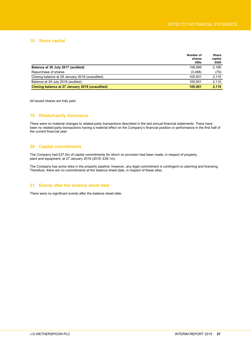#### **18. Share capital**

| Number of<br>shares<br>000s                               | <b>Share</b><br>capital<br>£000 |
|-----------------------------------------------------------|---------------------------------|
| Balance at 30 July 2017 (audited)<br>108.999              | 2.180                           |
| Repurchase of shares<br>(3, 498)                          | (70)                            |
| Closing balance at 28 January 2018 (unaudited)<br>105.501 | 2,110                           |
| Balance at 29 July 2018 (audited)<br>105.501              | 2,110                           |
| Closing balance at 27 January 2019 (unaudited)<br>105.501 | 2.110                           |

All issued shares are fully paid.

#### **19. Related-party disclosure**

There were no material changes to related-party transactions described in the last annual financial statements. There have been no related-party transactions having a material effect on the Company's financial position or performance in the first half of the current financial year.

#### **20. Capital commitments**

The Company had £27.5m of capital commitments for which no provision had been made, in respect of property, plant and equipment, at 27 January 2019 (2018: £28.1m).

The Company has some sites in the property pipeline; however, any legal commitment is contingent on planning and licensing. Therefore, there are no commitments at the balance sheet date, in respect of these sites.

#### **21. Events after the balance sheet date**

There were no significant events after the balance sheet date.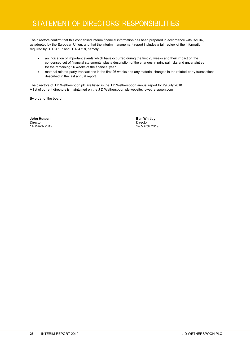### STATEMENT OF DIRECTORS' RESPONSIBILITIES

The directors confirm that this condensed interim financial information has been prepared in accordance with IAS 34, as adopted by the European Union, and that the interim management report includes a fair review of the information required by DTR 4.2.7 and DTR 4.2.8, namely:

- an indication of important events which have occurred during the first 26 weeks and their impact on the condensed set of financial statements, plus a description of the changes in principal risks and uncertainties for the remaining 26 weeks of the financial year.
- material related-party transactions in the first 26 weeks and any material changes in the related-party transactions described in the last annual report.

The directors of J D Wetherspoon plc are listed in the J D Wetherspoon annual report for 29 July 2018. A list of current directors is maintained on the J D Wetherspoon plc website: jdwetherspoon.com

By order of the board

**John Hutson Ben Whitley**<br>Director **Ben Whitley** Director Director 14 March 2019 14 March 2019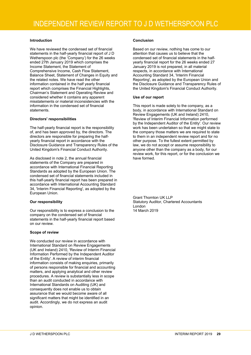#### **Introduction**

We have reviewed the condensed set of financial statements in the half-yearly financial report of J D Wetherspoon plc (the 'Company') for the 26 weeks ended 27th January 2019 which comprises the Income Statement, the Statement of Comprehensive Income, Cash Flow Statement, Balance Sheet, Statement of Changes in Equity and the related notes. We have read the other information contained in the half yearly financial report which comprises the Financial Highlights, Chairman's Statement and Operating Review and considered whether it contains any apparent misstatements or material inconsistencies with the information in the condensed set of financial statements.

#### **Directors' responsibilities**

The half-yearly financial report is the responsibility of, and has been approved by, the directors. The directors are responsible for preparing the halfyearly financial report in accordance with the Disclosure Guidance and Transparency Rules of the United Kingdom's Financial Conduct Authority.

As disclosed in note 2, the annual financial statements of the Company are prepared in accordance with International Financial Reporting Standards as adopted by the European Union. The condensed set of financial statements included in this half-yearly financial report has been prepared in accordance with International Accounting Standard 34, 'Interim Financial Reporting', as adopted by the European Union.

#### **Our responsibility**

Our responsibility is to express a conclusion to the company on the condensed set of financial statements in the half-yearly financial report based on our review.

#### **Scope of review**

We conducted our review in accordance with International Standard on Review Engagements (UK and Ireland) 2410, 'Review of Interim Financial Information Performed by the Independent Auditor of the Entity'. A review of interim financial information consists of making enquiries, primarily of persons responsible for financial and accounting matters, and applying analytical and other review procedures. A review is substantially less in scope than an audit conducted in accordance with International Standards on Auditing (UK) and consequently does not enable us to obtain assurance that we would become aware of all significant matters that might be identified in an audit. Accordingly, we do not express an audit opinion.

#### **Conclusion**

Based on our review, nothing has come to our attention that causes us to believe that the condensed set of financial statements in the halfyearly financial report for the 26 weeks ended 27 January 2019 is not prepared, in all material respects, in accordance with International Accounting Standard 34, 'Interim Financial Reporting', as adopted by the European Union and the Disclosure Guidance and Transparency Rules of the United Kingdom's Financial Conduct Authority.

#### **Use of our report**

This report is made solely to the company, as a body, in accordance with International Standard on Review Engagements (UK and Ireland) 2410, 'Review of Interim Financial Information performed by the Independent Auditor of the Entity'. Our review work has been undertaken so that we might state to the company those matters we are required to state to them in an independent review report and for no other purpose. To the fullest extent permitted by law, we do not accept or assume responsibility to anyone other than the company as a body, for our review work, for this report, or for the conclusion we have formed.

Grant Thornton UK LLP Statutory Auditor, Chartered Accountants London 14 March 2019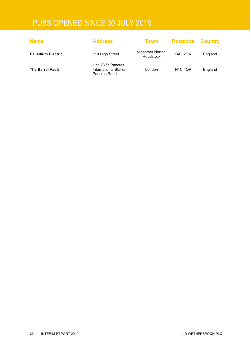### PUBS OPENED SINCE 30 JULY 2018

| <b>Name</b>               | <b>Address</b>                                               | Town                          | <b>Postcode Country</b>         |         |
|---------------------------|--------------------------------------------------------------|-------------------------------|---------------------------------|---------|
| <b>Palladium Electric</b> | 110 High Street                                              | Midsomer Norton,<br>Roadstock | BA3 2DA                         | England |
| <b>The Barrel Vault</b>   | Unit 23 St Pancras<br>International Station,<br>Pancras Road | London                        | N <sub>1</sub> C <sub>4QP</sub> | England |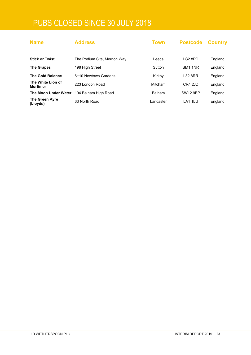### **PUBS CLOSED SINCE 30 JULY 2018**

| <b>Name</b>                          | <b>Address</b>               | <b>Town</b>   | <b>Postcode</b>     | <b>Country</b> |
|--------------------------------------|------------------------------|---------------|---------------------|----------------|
| <b>Stick or Twist</b>                | The Podium Site, Merrion Way | Leeds         | <b>LS2 8PD</b>      | England        |
| <b>The Grapes</b>                    | 198 High Street              | Sutton        | SM <sub>1</sub> 1NR | England        |
| <b>The Gold Balance</b>              | 6-10 Newtown Gardens         | Kirkby        | <b>L32 8RR</b>      | England        |
| The White Lion of<br><b>Mortimer</b> | 223 London Road              | Mitcham       | CR4 2JD             | England        |
| <b>The Moon Under Water</b>          | 194 Balham High Road         | <b>Balham</b> | <b>SW12 9BP</b>     | England        |
| The Green Ayre<br>(Lloyds)           | 63 North Road                | Lancaster     | LA1 1LU             | England        |